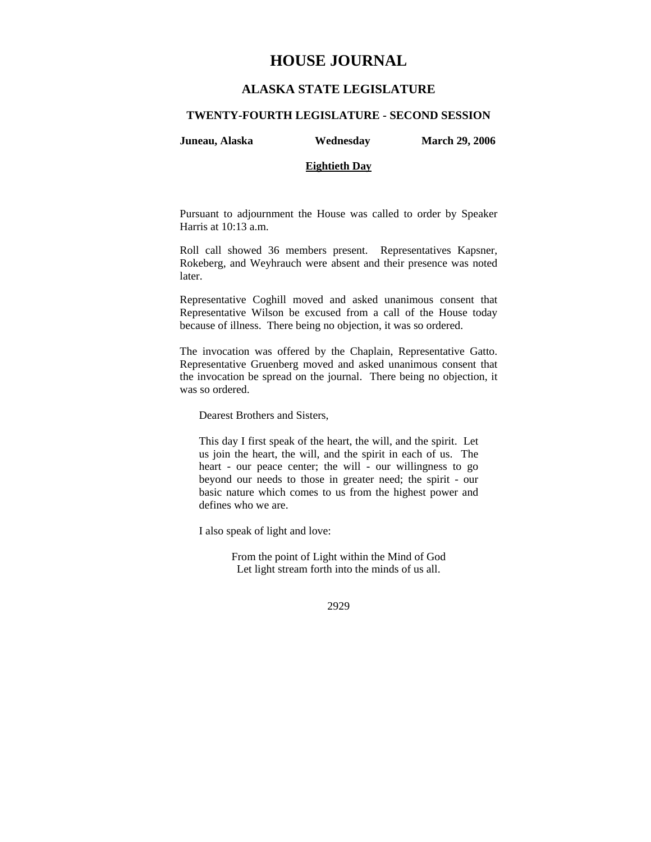# **HOUSE JOURNAL**

# **ALASKA STATE LEGISLATURE**

#### **TWENTY-FOURTH LEGISLATURE - SECOND SESSION**

**Juneau, Alaska Wednesday March 29, 2006** 

# **Eightieth Day**

Pursuant to adjournment the House was called to order by Speaker

Roll call showed 36 members present. Representatives Kapsner, Rokeberg, and Weyhrauch were absent and their presence was noted later.

Representative Coghill moved and asked unanimous consent that Representative Wilson be excused from a call of the House today because of illness. There being no objection, it was so ordered.

The invocation was offered by the Chaplain, Representative Gatto. Representative Gruenberg moved and asked unanimous consent that the invocation be spread on the journal. There being no objection, it was so ordered.

Dearest Brothers and Sisters,

Harris at 10:13 a.m.

This day I first speak of the heart, the will, and the spirit. Let us join the heart, the will, and the spirit in each of us. The heart - our peace center; the will - our willingness to go beyond our needs to those in greater need; the spirit - our basic nature which comes to us from the highest power and defines who we are.

I also speak of light and love:

From the point of Light within the Mind of God Let light stream forth into the minds of us all.

2929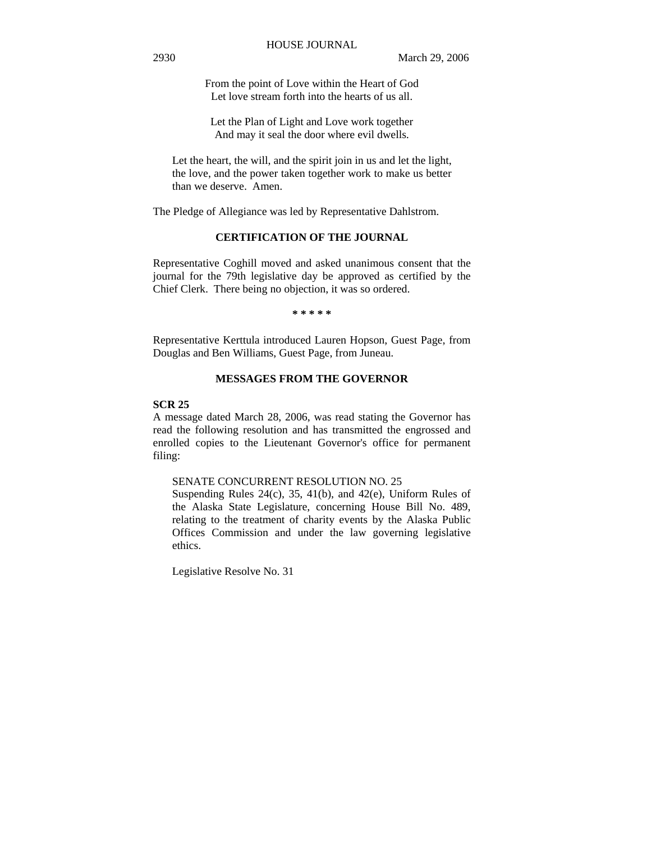From the point of Love within the Heart of God Let love stream forth into the hearts of us all.

Let the Plan of Light and Love work together And may it seal the door where evil dwells.

Let the heart, the will, and the spirit join in us and let the light, the love, and the power taken together work to make us better than we deserve. Amen.

The Pledge of Allegiance was led by Representative Dahlstrom.

# **CERTIFICATION OF THE JOURNAL**

Representative Coghill moved and asked unanimous consent that the journal for the 79th legislative day be approved as certified by the Chief Clerk. There being no objection, it was so ordered.

**\* \* \* \* \*** 

Representative Kerttula introduced Lauren Hopson, Guest Page, from Douglas and Ben Williams, Guest Page, from Juneau.

#### **MESSAGES FROM THE GOVERNOR**

#### **SCR 25**

A message dated March 28, 2006, was read stating the Governor has read the following resolution and has transmitted the engrossed and enrolled copies to the Lieutenant Governor's office for permanent filing:

### SENATE CONCURRENT RESOLUTION NO. 25

Suspending Rules 24(c), 35, 41(b), and 42(e), Uniform Rules of the Alaska State Legislature, concerning House Bill No. 489, relating to the treatment of charity events by the Alaska Public Offices Commission and under the law governing legislative ethics.

Legislative Resolve No. 31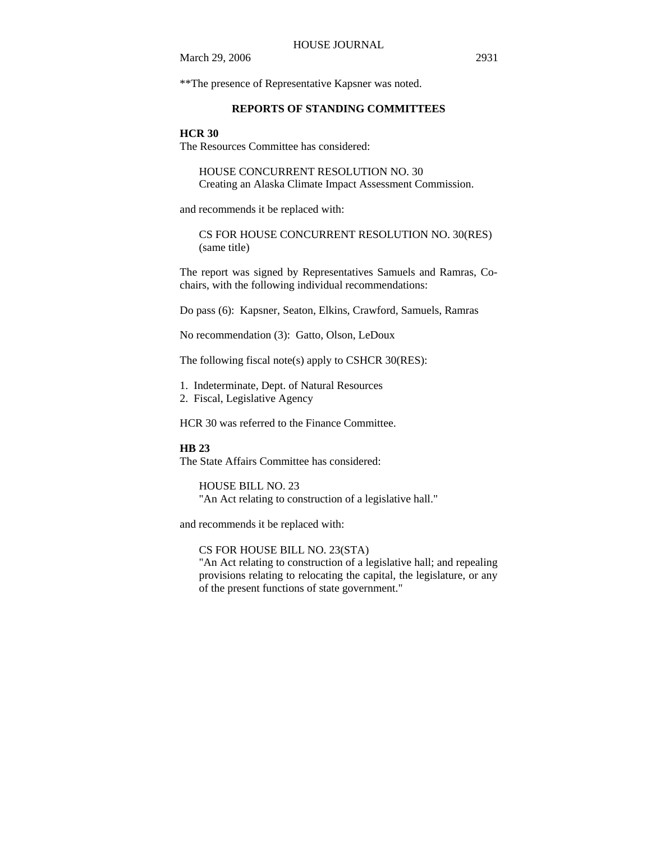\*\*The presence of Representative Kapsner was noted.

# **REPORTS OF STANDING COMMITTEES**

#### **HCR 30**

The Resources Committee has considered:

HOUSE CONCURRENT RESOLUTION NO. 30 Creating an Alaska Climate Impact Assessment Commission.

and recommends it be replaced with:

CS FOR HOUSE CONCURRENT RESOLUTION NO. 30(RES) (same title)

The report was signed by Representatives Samuels and Ramras, Cochairs, with the following individual recommendations:

Do pass (6): Kapsner, Seaton, Elkins, Crawford, Samuels, Ramras

No recommendation (3): Gatto, Olson, LeDoux

The following fiscal note(s) apply to CSHCR 30(RES):

- 1. Indeterminate, Dept. of Natural Resources
- 2. Fiscal, Legislative Agency

HCR 30 was referred to the Finance Committee.

#### **HB 23**

The State Affairs Committee has considered:

HOUSE BILL NO. 23 "An Act relating to construction of a legislative hall."

and recommends it be replaced with:

CS FOR HOUSE BILL NO. 23(STA)

"An Act relating to construction of a legislative hall; and repealing provisions relating to relocating the capital, the legislature, or any of the present functions of state government."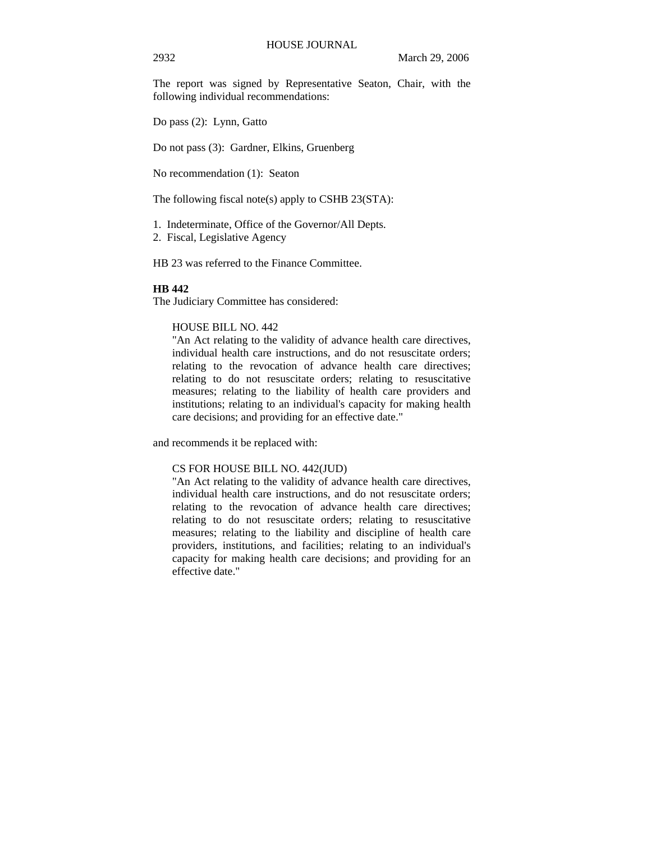The report was signed by Representative Seaton, Chair, with the following individual recommendations:

Do pass (2): Lynn, Gatto

Do not pass (3): Gardner, Elkins, Gruenberg

No recommendation (1): Seaton

The following fiscal note(s) apply to CSHB 23(STA):

- 1. Indeterminate, Office of the Governor/All Depts.
- 2. Fiscal, Legislative Agency

HB 23 was referred to the Finance Committee.

#### **HB 442**

The Judiciary Committee has considered:

# HOUSE BILL NO. 442

"An Act relating to the validity of advance health care directives, individual health care instructions, and do not resuscitate orders; relating to the revocation of advance health care directives; relating to do not resuscitate orders; relating to resuscitative measures; relating to the liability of health care providers and institutions; relating to an individual's capacity for making health care decisions; and providing for an effective date."

and recommends it be replaced with:

#### CS FOR HOUSE BILL NO. 442(JUD)

"An Act relating to the validity of advance health care directives, individual health care instructions, and do not resuscitate orders; relating to the revocation of advance health care directives; relating to do not resuscitate orders; relating to resuscitative measures; relating to the liability and discipline of health care providers, institutions, and facilities; relating to an individual's capacity for making health care decisions; and providing for an effective date."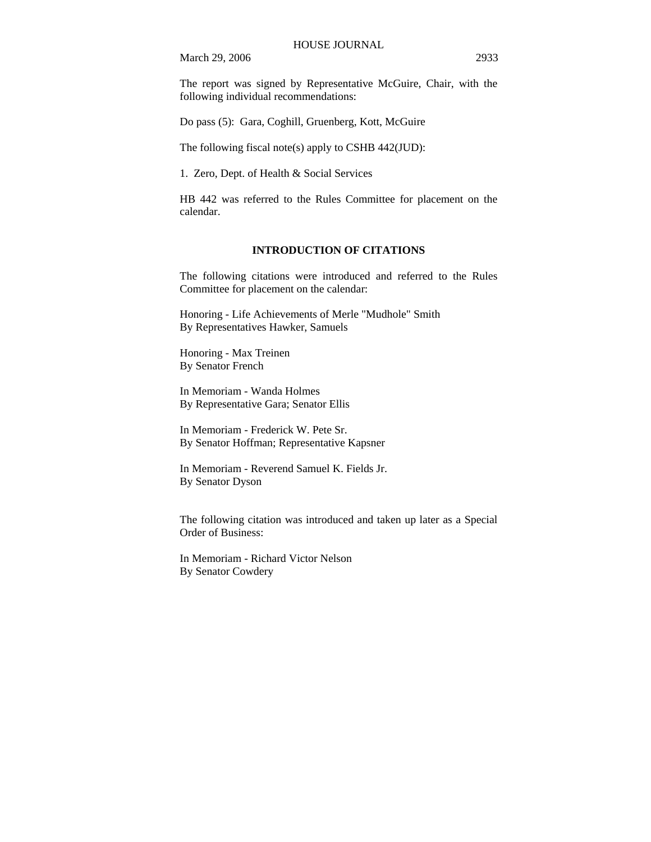The report was signed by Representative McGuire, Chair, with the following individual recommendations:

Do pass (5): Gara, Coghill, Gruenberg, Kott, McGuire

The following fiscal note(s) apply to CSHB 442(JUD):

1. Zero, Dept. of Health & Social Services

HB 442 was referred to the Rules Committee for placement on the calendar.

#### **INTRODUCTION OF CITATIONS**

The following citations were introduced and referred to the Rules Committee for placement on the calendar:

Honoring - Life Achievements of Merle "Mudhole" Smith By Representatives Hawker, Samuels

Honoring - Max Treinen By Senator French

In Memoriam - Wanda Holmes By Representative Gara; Senator Ellis

In Memoriam - Frederick W. Pete Sr. By Senator Hoffman; Representative Kapsner

In Memoriam - Reverend Samuel K. Fields Jr. By Senator Dyson

The following citation was introduced and taken up later as a Special Order of Business:

In Memoriam - Richard Victor Nelson By Senator Cowdery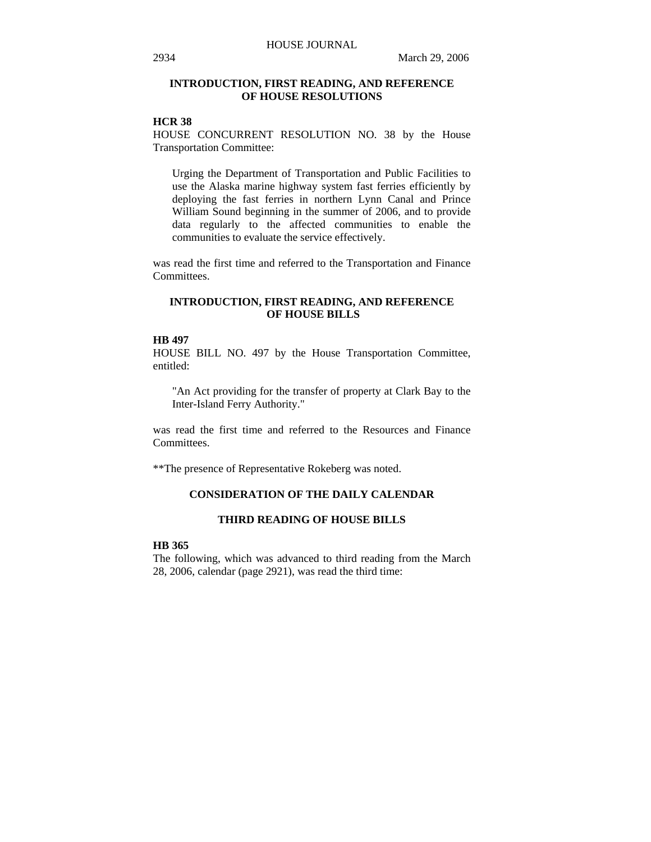# **INTRODUCTION, FIRST READING, AND REFERENCE OF HOUSE RESOLUTIONS**

# **HCR 38**

HOUSE CONCURRENT RESOLUTION NO. 38 by the House Transportation Committee:

Urging the Department of Transportation and Public Facilities to use the Alaska marine highway system fast ferries efficiently by deploying the fast ferries in northern Lynn Canal and Prince William Sound beginning in the summer of 2006, and to provide data regularly to the affected communities to enable the communities to evaluate the service effectively.

was read the first time and referred to the Transportation and Finance Committees.

# **INTRODUCTION, FIRST READING, AND REFERENCE OF HOUSE BILLS**

#### **HB 497**

HOUSE BILL NO. 497 by the House Transportation Committee, entitled:

"An Act providing for the transfer of property at Clark Bay to the Inter-Island Ferry Authority."

was read the first time and referred to the Resources and Finance Committees.

\*\*The presence of Representative Rokeberg was noted.

# **CONSIDERATION OF THE DAILY CALENDAR**

# **THIRD READING OF HOUSE BILLS**

# **HB 365**

The following, which was advanced to third reading from the March 28, 2006, calendar (page 2921), was read the third time: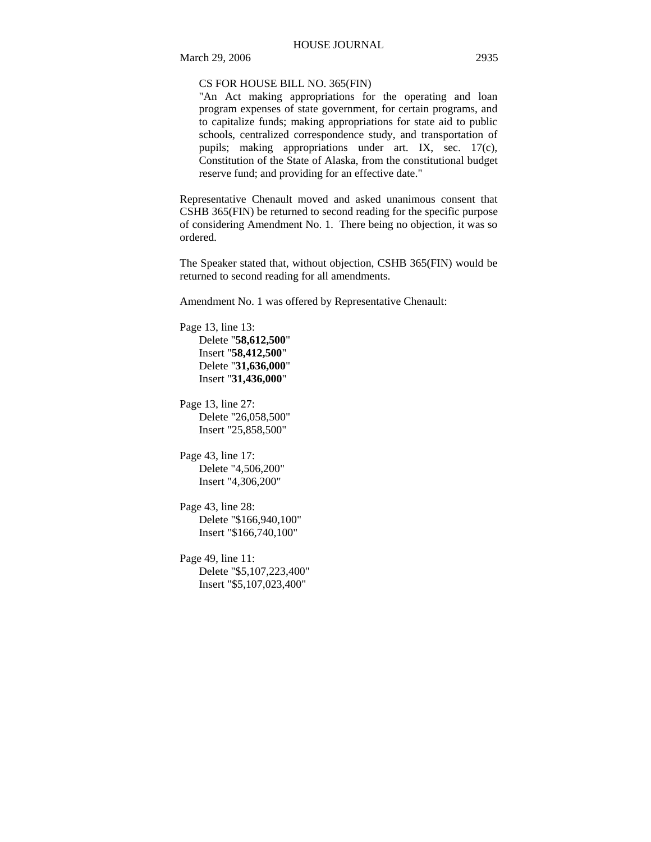## CS FOR HOUSE BILL NO. 365(FIN)

"An Act making appropriations for the operating and loan program expenses of state government, for certain programs, and to capitalize funds; making appropriations for state aid to public schools, centralized correspondence study, and transportation of pupils; making appropriations under art. IX, sec. 17(c), Constitution of the State of Alaska, from the constitutional budget reserve fund; and providing for an effective date."

Representative Chenault moved and asked unanimous consent that CSHB 365(FIN) be returned to second reading for the specific purpose of considering Amendment No. 1. There being no objection, it was so ordered.

The Speaker stated that, without objection, CSHB 365(FIN) would be returned to second reading for all amendments.

Amendment No. 1 was offered by Representative Chenault:

Page 13, line 13: Delete "**58,612,500**" Insert "**58,412,500**" Delete "**31,636,000**" Insert "**31,436,000**"

Page 13, line 27: Delete "26,058,500" Insert "25,858,500"

Page 43, line 17: Delete "4,506,200" Insert "4,306,200"

Page 43, line 28: Delete "\$166,940,100" Insert "\$166,740,100"

Page 49, line 11: Delete "\$5,107,223,400" Insert "\$5,107,023,400"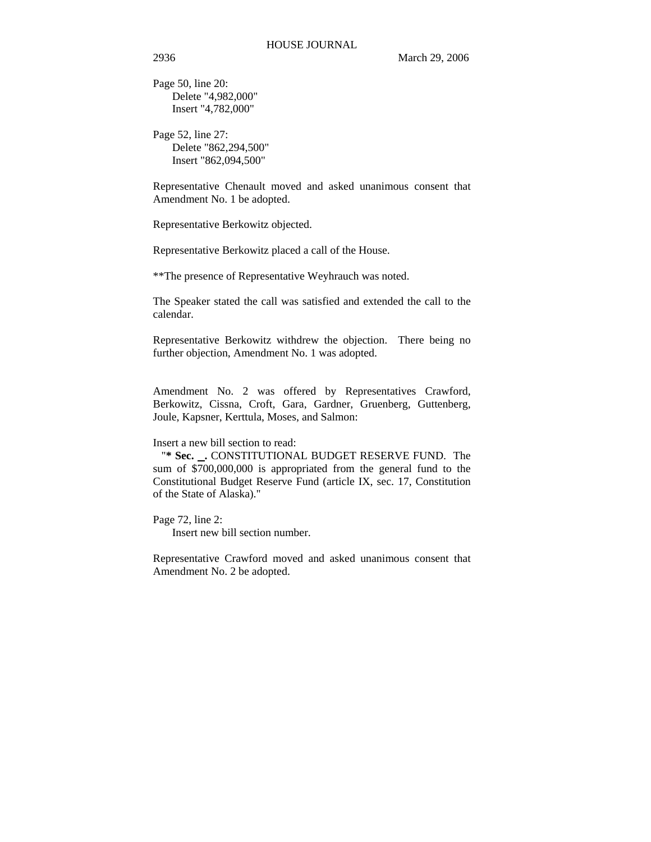Page 50, line 20: Delete "4,982,000" Insert "4,782,000"

Page 52, line 27: Delete "862,294,500" Insert "862,094,500"

Representative Chenault moved and asked unanimous consent that Amendment No. 1 be adopted.

Representative Berkowitz objected.

Representative Berkowitz placed a call of the House.

\*\*The presence of Representative Weyhrauch was noted.

The Speaker stated the call was satisfied and extended the call to the calendar.

Representative Berkowitz withdrew the objection. There being no further objection, Amendment No. 1 was adopted.

Amendment No. 2 was offered by Representatives Crawford, Berkowitz, Cissna, Croft, Gara, Gardner, Gruenberg, Guttenberg, Joule, Kapsner, Kerttula, Moses, and Salmon:

#### Insert a new bill section to read:

 "**\* Sec. .** CONSTITUTIONAL BUDGET RESERVE FUND. The sum of \$700,000,000 is appropriated from the general fund to the Constitutional Budget Reserve Fund (article IX, sec. 17, Constitution of the State of Alaska)."

Page 72, line 2:

Insert new bill section number.

Representative Crawford moved and asked unanimous consent that Amendment No. 2 be adopted.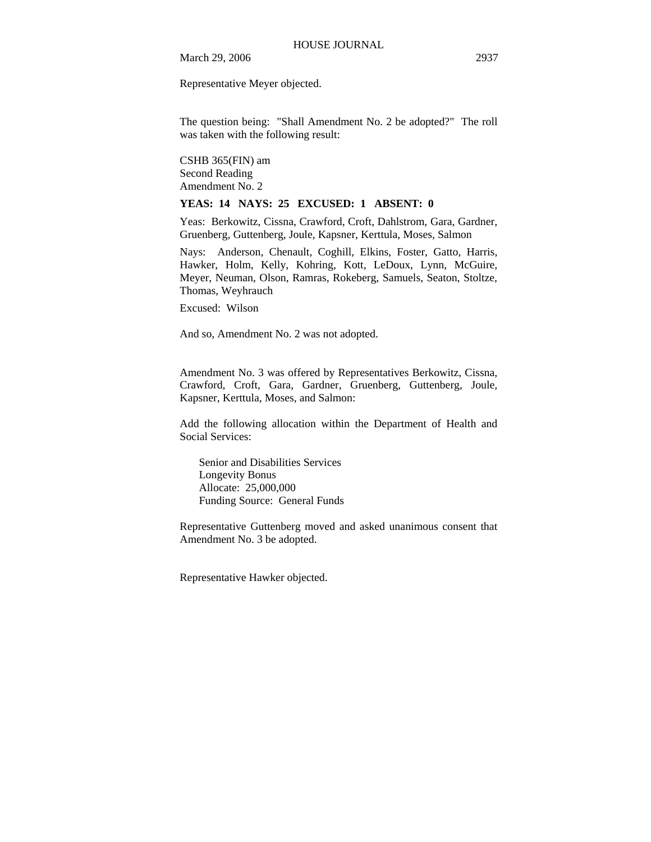Representative Meyer objected.

The question being: "Shall Amendment No. 2 be adopted?" The roll was taken with the following result:

CSHB 365(FIN) am Second Reading Amendment No. 2

#### **YEAS: 14 NAYS: 25 EXCUSED: 1 ABSENT: 0**

Yeas: Berkowitz, Cissna, Crawford, Croft, Dahlstrom, Gara, Gardner, Gruenberg, Guttenberg, Joule, Kapsner, Kerttula, Moses, Salmon

Nays: Anderson, Chenault, Coghill, Elkins, Foster, Gatto, Harris, Hawker, Holm, Kelly, Kohring, Kott, LeDoux, Lynn, McGuire, Meyer, Neuman, Olson, Ramras, Rokeberg, Samuels, Seaton, Stoltze, Thomas, Weyhrauch

Excused: Wilson

And so, Amendment No. 2 was not adopted.

Amendment No. 3 was offered by Representatives Berkowitz, Cissna, Crawford, Croft, Gara, Gardner, Gruenberg, Guttenberg, Joule, Kapsner, Kerttula, Moses, and Salmon:

Add the following allocation within the Department of Health and Social Services:

Senior and Disabilities Services Longevity Bonus Allocate: 25,000,000 Funding Source: General Funds

Representative Guttenberg moved and asked unanimous consent that Amendment No. 3 be adopted.

Representative Hawker objected.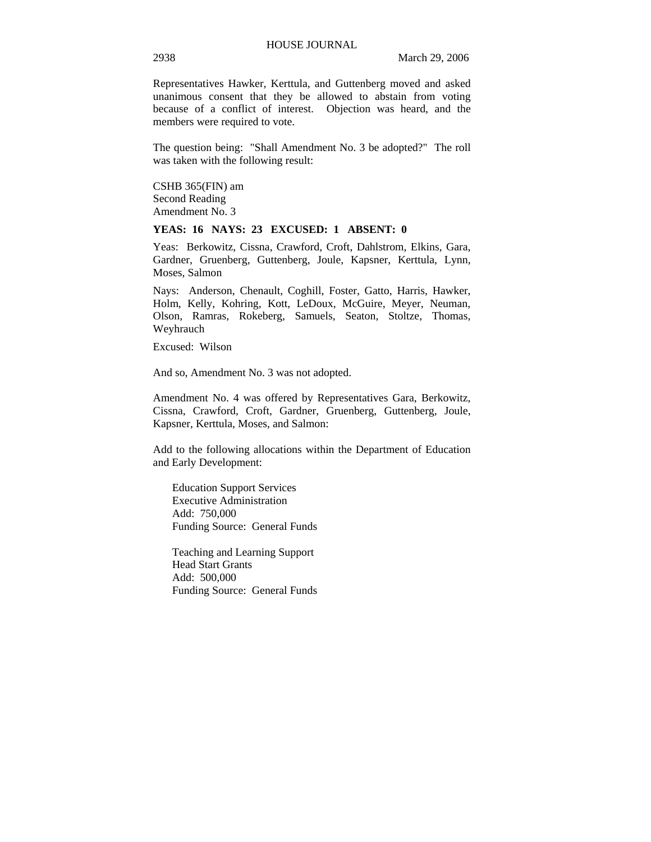Representatives Hawker, Kerttula, and Guttenberg moved and asked unanimous consent that they be allowed to abstain from voting because of a conflict of interest. Objection was heard, and the members were required to vote.

The question being: "Shall Amendment No. 3 be adopted?" The roll was taken with the following result:

CSHB 365(FIN) am Second Reading Amendment No. 3

### **YEAS: 16 NAYS: 23 EXCUSED: 1 ABSENT: 0**

Yeas: Berkowitz, Cissna, Crawford, Croft, Dahlstrom, Elkins, Gara, Gardner, Gruenberg, Guttenberg, Joule, Kapsner, Kerttula, Lynn, Moses, Salmon

Nays: Anderson, Chenault, Coghill, Foster, Gatto, Harris, Hawker, Holm, Kelly, Kohring, Kott, LeDoux, McGuire, Meyer, Neuman, Olson, Ramras, Rokeberg, Samuels, Seaton, Stoltze, Thomas, Weyhrauch

Excused: Wilson

And so, Amendment No. 3 was not adopted.

Amendment No. 4 was offered by Representatives Gara, Berkowitz, Cissna, Crawford, Croft, Gardner, Gruenberg, Guttenberg, Joule, Kapsner, Kerttula, Moses, and Salmon:

Add to the following allocations within the Department of Education and Early Development:

Education Support Services Executive Administration Add: 750,000 Funding Source: General Funds

Teaching and Learning Support Head Start Grants Add: 500,000 Funding Source: General Funds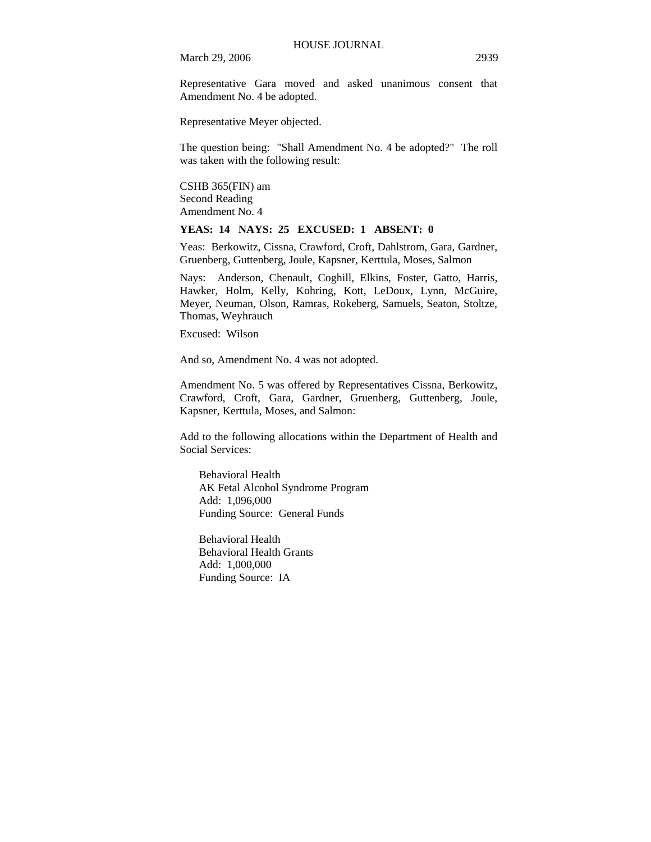Representative Gara moved and asked unanimous consent that Amendment No. 4 be adopted.

Representative Meyer objected.

The question being: "Shall Amendment No. 4 be adopted?" The roll was taken with the following result:

CSHB 365(FIN) am Second Reading Amendment No. 4

# **YEAS: 14 NAYS: 25 EXCUSED: 1 ABSENT: 0**

Yeas: Berkowitz, Cissna, Crawford, Croft, Dahlstrom, Gara, Gardner, Gruenberg, Guttenberg, Joule, Kapsner, Kerttula, Moses, Salmon

Nays: Anderson, Chenault, Coghill, Elkins, Foster, Gatto, Harris, Hawker, Holm, Kelly, Kohring, Kott, LeDoux, Lynn, McGuire, Meyer, Neuman, Olson, Ramras, Rokeberg, Samuels, Seaton, Stoltze, Thomas, Weyhrauch

Excused: Wilson

And so, Amendment No. 4 was not adopted.

Amendment No. 5 was offered by Representatives Cissna, Berkowitz, Crawford, Croft, Gara, Gardner, Gruenberg, Guttenberg, Joule, Kapsner, Kerttula, Moses, and Salmon:

Add to the following allocations within the Department of Health and Social Services:

Behavioral Health AK Fetal Alcohol Syndrome Program Add: 1,096,000 Funding Source: General Funds

Behavioral Health Behavioral Health Grants Add: 1,000,000 Funding Source: IA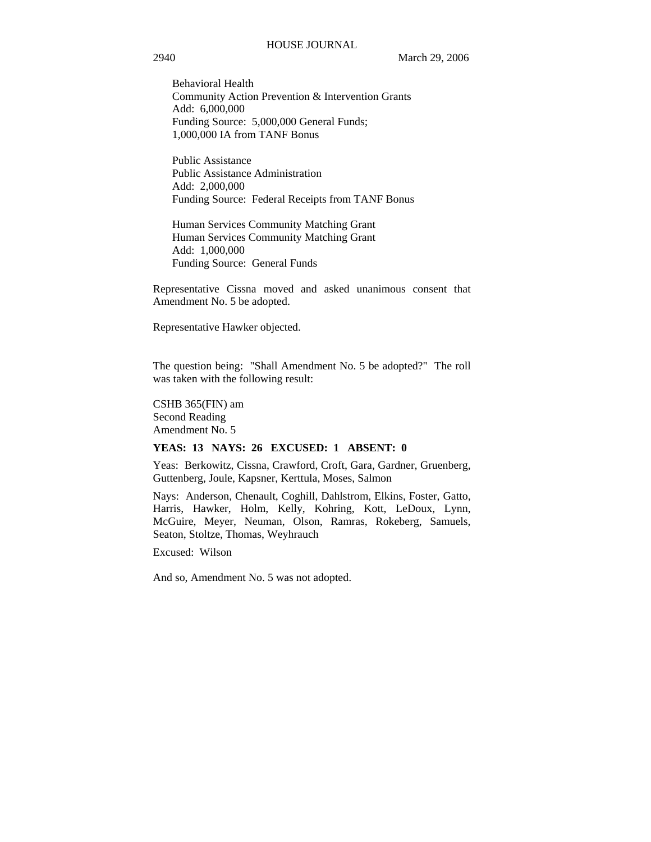Behavioral Health Community Action Prevention & Intervention Grants Add: 6,000,000 Funding Source: 5,000,000 General Funds; 1,000,000 IA from TANF Bonus

Public Assistance Public Assistance Administration Add: 2,000,000 Funding Source: Federal Receipts from TANF Bonus

Human Services Community Matching Grant Human Services Community Matching Grant Add: 1,000,000 Funding Source: General Funds

Representative Cissna moved and asked unanimous consent that Amendment No. 5 be adopted.

Representative Hawker objected.

The question being: "Shall Amendment No. 5 be adopted?" The roll was taken with the following result:

CSHB 365(FIN) am Second Reading Amendment No. 5

#### **YEAS: 13 NAYS: 26 EXCUSED: 1 ABSENT: 0**

Yeas: Berkowitz, Cissna, Crawford, Croft, Gara, Gardner, Gruenberg, Guttenberg, Joule, Kapsner, Kerttula, Moses, Salmon

Nays: Anderson, Chenault, Coghill, Dahlstrom, Elkins, Foster, Gatto, Harris, Hawker, Holm, Kelly, Kohring, Kott, LeDoux, Lynn, McGuire, Meyer, Neuman, Olson, Ramras, Rokeberg, Samuels, Seaton, Stoltze, Thomas, Weyhrauch

Excused: Wilson

And so, Amendment No. 5 was not adopted.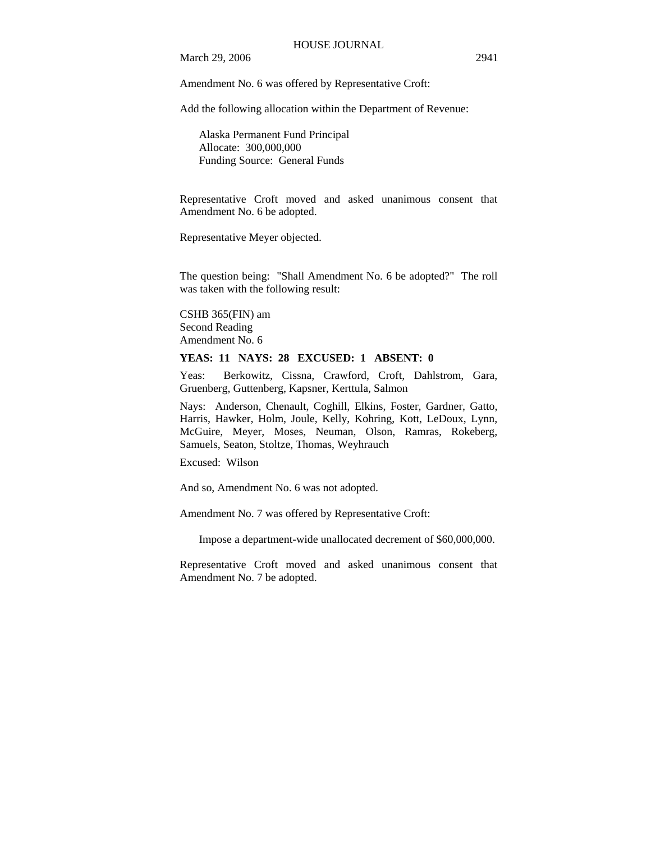Amendment No. 6 was offered by Representative Croft:

Add the following allocation within the Department of Revenue:

Alaska Permanent Fund Principal Allocate: 300,000,000 Funding Source: General Funds

Representative Croft moved and asked unanimous consent that Amendment No. 6 be adopted.

Representative Meyer objected.

The question being: "Shall Amendment No. 6 be adopted?" The roll was taken with the following result:

CSHB 365(FIN) am Second Reading Amendment No. 6

# **YEAS: 11 NAYS: 28 EXCUSED: 1 ABSENT: 0**

Yeas: Berkowitz, Cissna, Crawford, Croft, Dahlstrom, Gara, Gruenberg, Guttenberg, Kapsner, Kerttula, Salmon

Nays: Anderson, Chenault, Coghill, Elkins, Foster, Gardner, Gatto, Harris, Hawker, Holm, Joule, Kelly, Kohring, Kott, LeDoux, Lynn, McGuire, Meyer, Moses, Neuman, Olson, Ramras, Rokeberg, Samuels, Seaton, Stoltze, Thomas, Weyhrauch

Excused: Wilson

And so, Amendment No. 6 was not adopted.

Amendment No. 7 was offered by Representative Croft:

Impose a department-wide unallocated decrement of \$60,000,000.

Representative Croft moved and asked unanimous consent that Amendment No. 7 be adopted.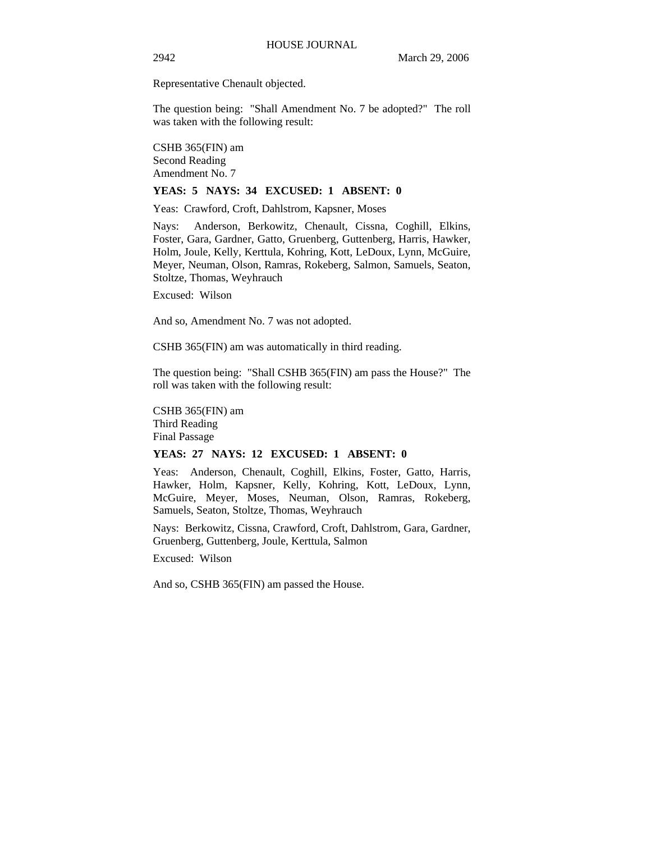Representative Chenault objected.

The question being: "Shall Amendment No. 7 be adopted?" The roll was taken with the following result:

CSHB 365(FIN) am Second Reading Amendment No. 7

### **YEAS: 5 NAYS: 34 EXCUSED: 1 ABSENT: 0**

Yeas: Crawford, Croft, Dahlstrom, Kapsner, Moses

Nays: Anderson, Berkowitz, Chenault, Cissna, Coghill, Elkins, Foster, Gara, Gardner, Gatto, Gruenberg, Guttenberg, Harris, Hawker, Holm, Joule, Kelly, Kerttula, Kohring, Kott, LeDoux, Lynn, McGuire, Meyer, Neuman, Olson, Ramras, Rokeberg, Salmon, Samuels, Seaton, Stoltze, Thomas, Weyhrauch

Excused: Wilson

And so, Amendment No. 7 was not adopted.

CSHB 365(FIN) am was automatically in third reading.

The question being: "Shall CSHB 365(FIN) am pass the House?" The roll was taken with the following result:

CSHB 365(FIN) am Third Reading Final Passage

# **YEAS: 27 NAYS: 12 EXCUSED: 1 ABSENT: 0**

Yeas: Anderson, Chenault, Coghill, Elkins, Foster, Gatto, Harris, Hawker, Holm, Kapsner, Kelly, Kohring, Kott, LeDoux, Lynn, McGuire, Meyer, Moses, Neuman, Olson, Ramras, Rokeberg, Samuels, Seaton, Stoltze, Thomas, Weyhrauch

Nays: Berkowitz, Cissna, Crawford, Croft, Dahlstrom, Gara, Gardner, Gruenberg, Guttenberg, Joule, Kerttula, Salmon

Excused: Wilson

And so, CSHB 365(FIN) am passed the House.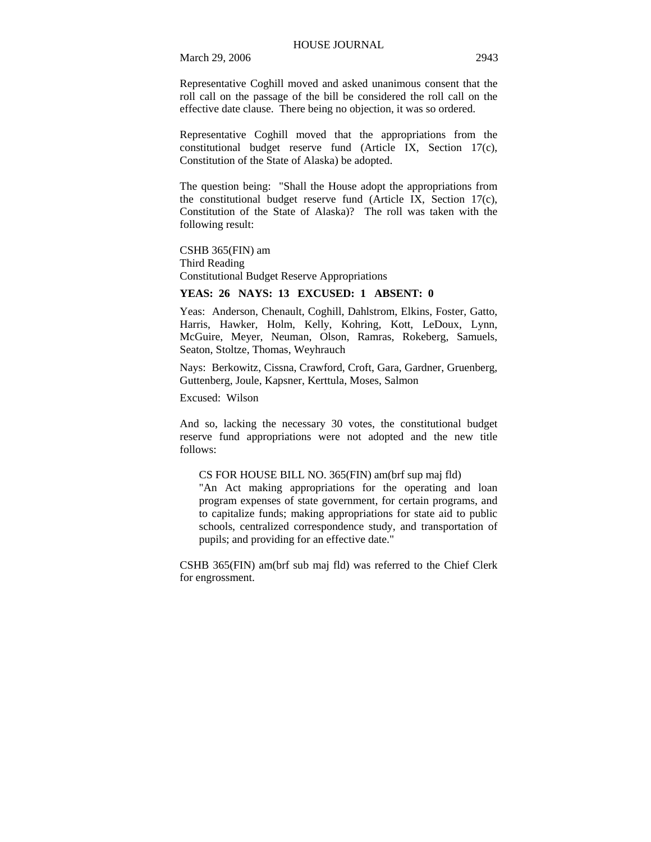Representative Coghill moved and asked unanimous consent that the roll call on the passage of the bill be considered the roll call on the effective date clause. There being no objection, it was so ordered.

Representative Coghill moved that the appropriations from the constitutional budget reserve fund (Article IX, Section 17(c), Constitution of the State of Alaska) be adopted.

The question being: "Shall the House adopt the appropriations from the constitutional budget reserve fund (Article IX, Section 17(c), Constitution of the State of Alaska)? The roll was taken with the following result:

CSHB 365(FIN) am Third Reading Constitutional Budget Reserve Appropriations

# **YEAS: 26 NAYS: 13 EXCUSED: 1 ABSENT: 0**

Yeas: Anderson, Chenault, Coghill, Dahlstrom, Elkins, Foster, Gatto, Harris, Hawker, Holm, Kelly, Kohring, Kott, LeDoux, Lynn, McGuire, Meyer, Neuman, Olson, Ramras, Rokeberg, Samuels, Seaton, Stoltze, Thomas, Weyhrauch

Nays: Berkowitz, Cissna, Crawford, Croft, Gara, Gardner, Gruenberg, Guttenberg, Joule, Kapsner, Kerttula, Moses, Salmon

Excused: Wilson

And so, lacking the necessary 30 votes, the constitutional budget reserve fund appropriations were not adopted and the new title follows:

#### CS FOR HOUSE BILL NO. 365(FIN) am(brf sup maj fld)

"An Act making appropriations for the operating and loan program expenses of state government, for certain programs, and to capitalize funds; making appropriations for state aid to public schools, centralized correspondence study, and transportation of pupils; and providing for an effective date."

CSHB 365(FIN) am(brf sub maj fld) was referred to the Chief Clerk for engrossment.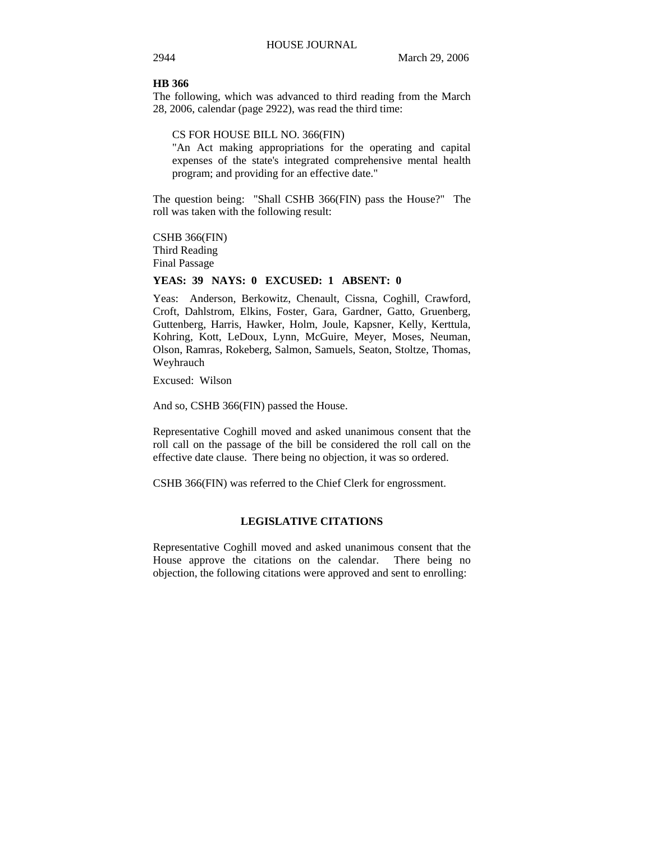### **HB 366**

The following, which was advanced to third reading from the March 28, 2006, calendar (page 2922), was read the third time:

CS FOR HOUSE BILL NO. 366(FIN)

"An Act making appropriations for the operating and capital expenses of the state's integrated comprehensive mental health program; and providing for an effective date."

The question being: "Shall CSHB 366(FIN) pass the House?" The roll was taken with the following result:

CSHB 366(FIN) Third Reading Final Passage

### **YEAS: 39 NAYS: 0 EXCUSED: 1 ABSENT: 0**

Yeas: Anderson, Berkowitz, Chenault, Cissna, Coghill, Crawford, Croft, Dahlstrom, Elkins, Foster, Gara, Gardner, Gatto, Gruenberg, Guttenberg, Harris, Hawker, Holm, Joule, Kapsner, Kelly, Kerttula, Kohring, Kott, LeDoux, Lynn, McGuire, Meyer, Moses, Neuman, Olson, Ramras, Rokeberg, Salmon, Samuels, Seaton, Stoltze, Thomas, Weyhrauch

Excused: Wilson

And so, CSHB 366(FIN) passed the House.

Representative Coghill moved and asked unanimous consent that the roll call on the passage of the bill be considered the roll call on the effective date clause. There being no objection, it was so ordered.

CSHB 366(FIN) was referred to the Chief Clerk for engrossment.

#### **LEGISLATIVE CITATIONS**

Representative Coghill moved and asked unanimous consent that the House approve the citations on the calendar. There being no objection, the following citations were approved and sent to enrolling: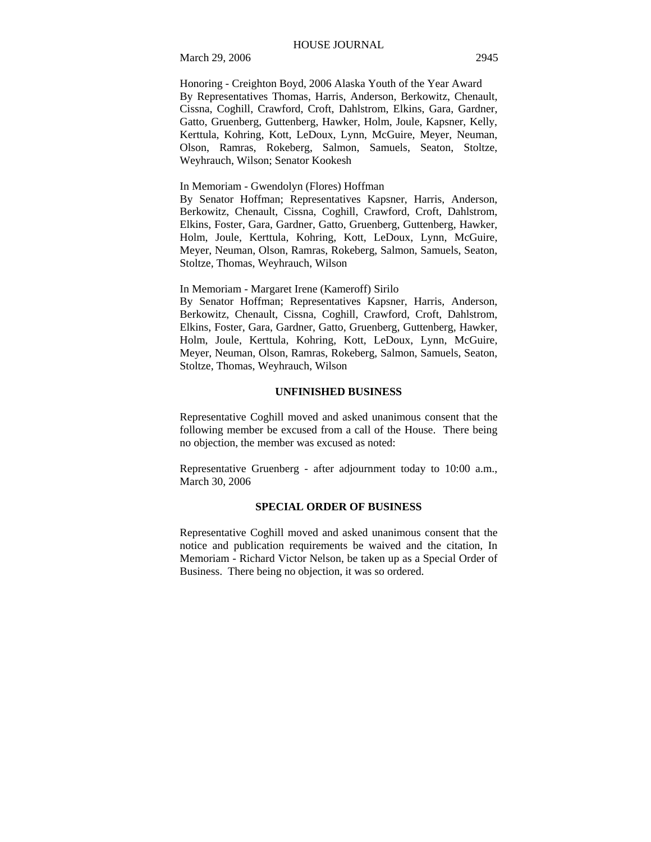Honoring - Creighton Boyd, 2006 Alaska Youth of the Year Award By Representatives Thomas, Harris, Anderson, Berkowitz, Chenault, Cissna, Coghill, Crawford, Croft, Dahlstrom, Elkins, Gara, Gardner, Gatto, Gruenberg, Guttenberg, Hawker, Holm, Joule, Kapsner, Kelly, Kerttula, Kohring, Kott, LeDoux, Lynn, McGuire, Meyer, Neuman, Olson, Ramras, Rokeberg, Salmon, Samuels, Seaton, Stoltze, Weyhrauch, Wilson; Senator Kookesh

In Memoriam - Gwendolyn (Flores) Hoffman

By Senator Hoffman; Representatives Kapsner, Harris, Anderson, Berkowitz, Chenault, Cissna, Coghill, Crawford, Croft, Dahlstrom, Elkins, Foster, Gara, Gardner, Gatto, Gruenberg, Guttenberg, Hawker, Holm, Joule, Kerttula, Kohring, Kott, LeDoux, Lynn, McGuire, Meyer, Neuman, Olson, Ramras, Rokeberg, Salmon, Samuels, Seaton, Stoltze, Thomas, Weyhrauch, Wilson

In Memoriam - Margaret Irene (Kameroff) Sirilo

By Senator Hoffman; Representatives Kapsner, Harris, Anderson, Berkowitz, Chenault, Cissna, Coghill, Crawford, Croft, Dahlstrom, Elkins, Foster, Gara, Gardner, Gatto, Gruenberg, Guttenberg, Hawker, Holm, Joule, Kerttula, Kohring, Kott, LeDoux, Lynn, McGuire, Meyer, Neuman, Olson, Ramras, Rokeberg, Salmon, Samuels, Seaton, Stoltze, Thomas, Weyhrauch, Wilson

# **UNFINISHED BUSINESS**

Representative Coghill moved and asked unanimous consent that the following member be excused from a call of the House. There being no objection, the member was excused as noted:

Representative Gruenberg - after adjournment today to 10:00 a.m., March 30, 2006

#### **SPECIAL ORDER OF BUSINESS**

Representative Coghill moved and asked unanimous consent that the notice and publication requirements be waived and the citation, In Memoriam - Richard Victor Nelson, be taken up as a Special Order of Business. There being no objection, it was so ordered.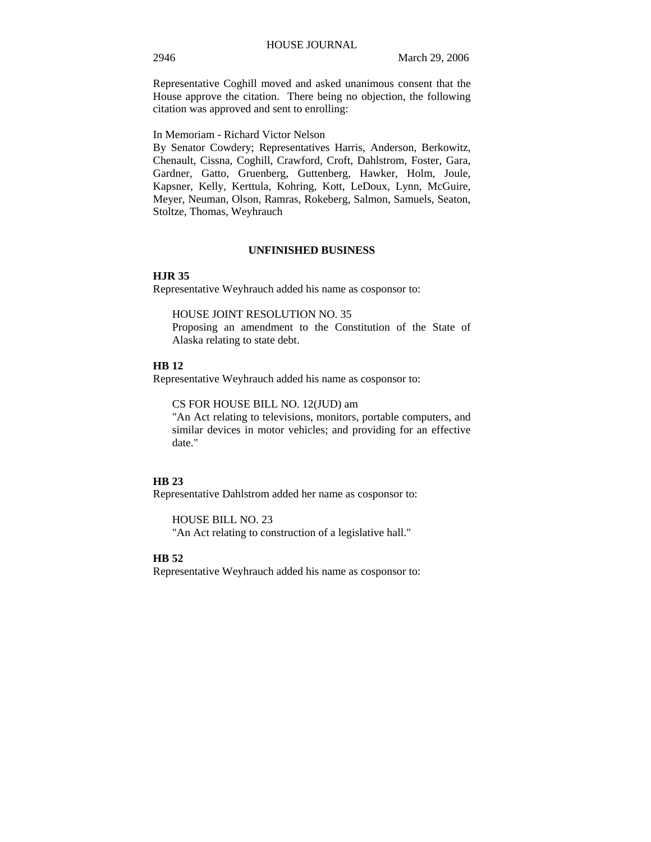Representative Coghill moved and asked unanimous consent that the House approve the citation. There being no objection, the following citation was approved and sent to enrolling:

In Memoriam - Richard Victor Nelson

By Senator Cowdery; Representatives Harris, Anderson, Berkowitz, Chenault, Cissna, Coghill, Crawford, Croft, Dahlstrom, Foster, Gara, Gardner, Gatto, Gruenberg, Guttenberg, Hawker, Holm, Joule, Kapsner, Kelly, Kerttula, Kohring, Kott, LeDoux, Lynn, McGuire, Meyer, Neuman, Olson, Ramras, Rokeberg, Salmon, Samuels, Seaton, Stoltze, Thomas, Weyhrauch

# **UNFINISHED BUSINESS**

#### **HJR 35**

Representative Weyhrauch added his name as cosponsor to:

HOUSE JOINT RESOLUTION NO. 35

Proposing an amendment to the Constitution of the State of Alaska relating to state debt.

#### **HB 12**

Representative Weyhrauch added his name as cosponsor to:

CS FOR HOUSE BILL NO. 12(JUD) am

"An Act relating to televisions, monitors, portable computers, and similar devices in motor vehicles; and providing for an effective date."

# **HB 23**

Representative Dahlstrom added her name as cosponsor to:

HOUSE BILL NO. 23

"An Act relating to construction of a legislative hall."

### **HB 52**

Representative Weyhrauch added his name as cosponsor to: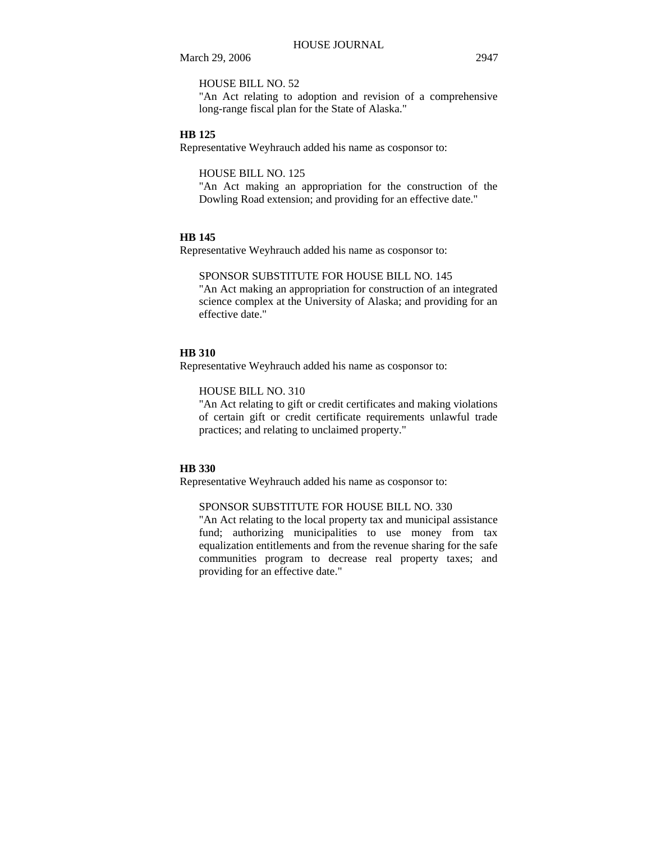HOUSE BILL NO. 52

"An Act relating to adoption and revision of a comprehensive long-range fiscal plan for the State of Alaska."

#### **HB 125**

Representative Weyhrauch added his name as cosponsor to:

HOUSE BILL NO. 125

"An Act making an appropriation for the construction of the Dowling Road extension; and providing for an effective date."

#### **HB 145**

Representative Weyhrauch added his name as cosponsor to:

SPONSOR SUBSTITUTE FOR HOUSE BILL NO. 145 "An Act making an appropriation for construction of an integrated science complex at the University of Alaska; and providing for an effective date."

# **HB 310**

Representative Weyhrauch added his name as cosponsor to:

# HOUSE BILL NO. 310

"An Act relating to gift or credit certificates and making violations of certain gift or credit certificate requirements unlawful trade practices; and relating to unclaimed property."

#### **HB 330**

Representative Weyhrauch added his name as cosponsor to:

#### SPONSOR SUBSTITUTE FOR HOUSE BILL NO. 330

"An Act relating to the local property tax and municipal assistance fund; authorizing municipalities to use money from tax equalization entitlements and from the revenue sharing for the safe communities program to decrease real property taxes; and providing for an effective date."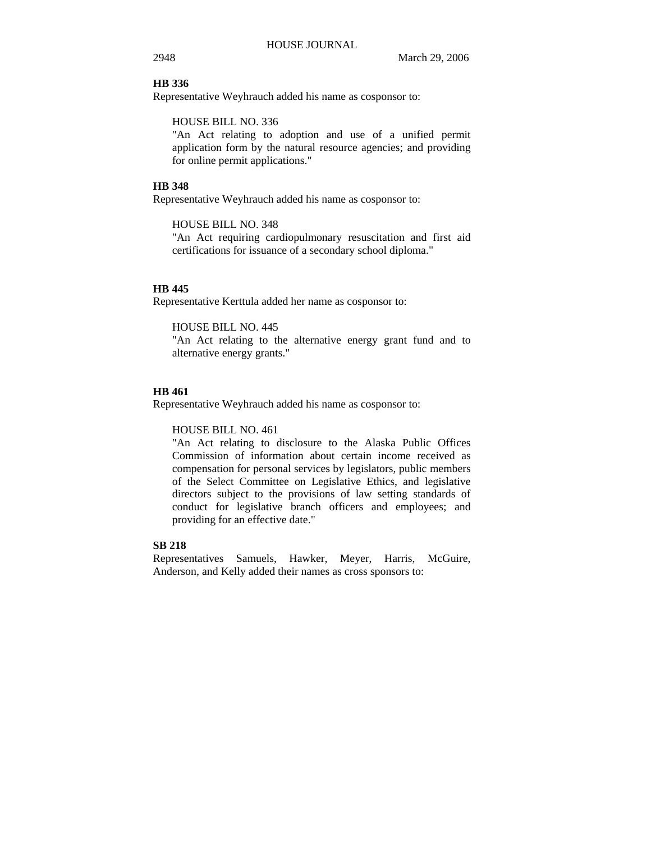#### **HB 336**

Representative Weyhrauch added his name as cosponsor to:

HOUSE BILL NO. 336

"An Act relating to adoption and use of a unified permit application form by the natural resource agencies; and providing for online permit applications."

#### **HB 348**

Representative Weyhrauch added his name as cosponsor to:

HOUSE BILL NO. 348

"An Act requiring cardiopulmonary resuscitation and first aid certifications for issuance of a secondary school diploma."

#### **HB 445**

Representative Kerttula added her name as cosponsor to:

HOUSE BILL NO. 445

"An Act relating to the alternative energy grant fund and to alternative energy grants."

# **HB 461**

Representative Weyhrauch added his name as cosponsor to:

#### HOUSE BILL NO. 461

"An Act relating to disclosure to the Alaska Public Offices Commission of information about certain income received as compensation for personal services by legislators, public members of the Select Committee on Legislative Ethics, and legislative directors subject to the provisions of law setting standards of conduct for legislative branch officers and employees; and providing for an effective date."

# **SB 218**

Representatives Samuels, Hawker, Meyer, Harris, McGuire, Anderson, and Kelly added their names as cross sponsors to: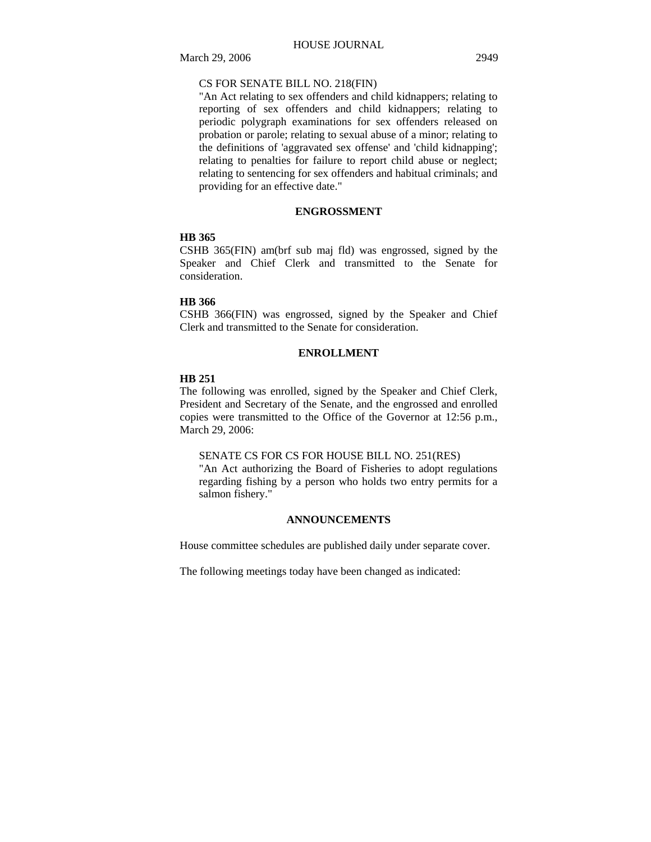# CS FOR SENATE BILL NO. 218(FIN)

"An Act relating to sex offenders and child kidnappers; relating to reporting of sex offenders and child kidnappers; relating to periodic polygraph examinations for sex offenders released on probation or parole; relating to sexual abuse of a minor; relating to the definitions of 'aggravated sex offense' and 'child kidnapping'; relating to penalties for failure to report child abuse or neglect; relating to sentencing for sex offenders and habitual criminals; and providing for an effective date."

# **ENGROSSMENT**

#### **HB 365**

CSHB 365(FIN) am(brf sub maj fld) was engrossed, signed by the Speaker and Chief Clerk and transmitted to the Senate for consideration.

# **HB 366**

CSHB 366(FIN) was engrossed, signed by the Speaker and Chief Clerk and transmitted to the Senate for consideration.

# **ENROLLMENT**

#### **HB 251**

The following was enrolled, signed by the Speaker and Chief Clerk, President and Secretary of the Senate, and the engrossed and enrolled copies were transmitted to the Office of the Governor at 12:56 p.m., March 29, 2006:

## SENATE CS FOR CS FOR HOUSE BILL NO. 251(RES)

"An Act authorizing the Board of Fisheries to adopt regulations regarding fishing by a person who holds two entry permits for a salmon fishery."

# **ANNOUNCEMENTS**

House committee schedules are published daily under separate cover.

The following meetings today have been changed as indicated: